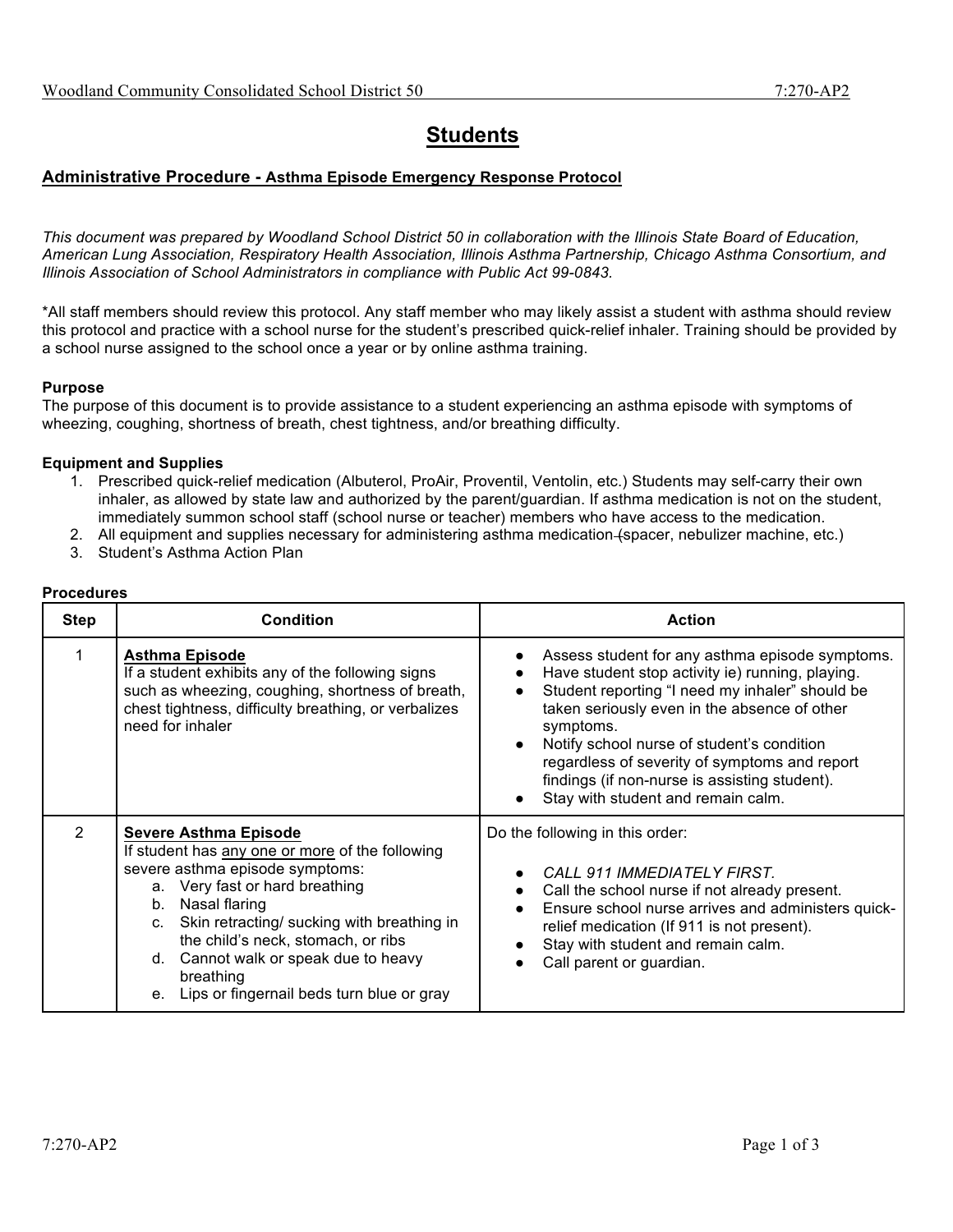# **Students**

## **Administrative Procedure - Asthma Episode Emergency Response Protocol**

*This document was prepared by Woodland School District 50 in collaboration with the Illinois State Board of Education, American Lung Association, Respiratory Health Association, Illinois Asthma Partnership, Chicago Asthma Consortium, and Illinois Association of School Administrators in compliance with Public Act 99-0843.*

\*All staff members should review this protocol. Any staff member who may likely assist a student with asthma should review this protocol and practice with a school nurse for the student's prescribed quick-relief inhaler. Training should be provided by a school nurse assigned to the school once a year or by online asthma training.

#### **Purpose**

The purpose of this document is to provide assistance to a student experiencing an asthma episode with symptoms of wheezing, coughing, shortness of breath, chest tightness, and/or breathing difficulty.

#### **Equipment and Supplies**

- 1. Prescribed quick-relief medication (Albuterol, ProAir, Proventil, Ventolin, etc.) Students may self-carry their own inhaler, as allowed by state law and authorized by the parent/guardian. If asthma medication is not on the student, immediately summon school staff (school nurse or teacher) members who have access to the medication.
- 2. All equipment and supplies necessary for administering asthma medication (spacer, nebulizer machine, etc.)
- 3. Student's Asthma Action Plan

### **Procedures**

| <b>Step</b>    | <b>Condition</b>                                                                                                                                                                                                                                                                                                                                                                          | <b>Action</b>                                                                                                                                                                                                                                                                                                                                                                                             |
|----------------|-------------------------------------------------------------------------------------------------------------------------------------------------------------------------------------------------------------------------------------------------------------------------------------------------------------------------------------------------------------------------------------------|-----------------------------------------------------------------------------------------------------------------------------------------------------------------------------------------------------------------------------------------------------------------------------------------------------------------------------------------------------------------------------------------------------------|
|                | <b>Asthma Episode</b><br>If a student exhibits any of the following signs<br>such as wheezing, coughing, shortness of breath,<br>chest tightness, difficulty breathing, or verbalizes<br>need for inhaler                                                                                                                                                                                 | Assess student for any asthma episode symptoms.<br>Have student stop activity ie) running, playing.<br>Student reporting "I need my inhaler" should be<br>taken seriously even in the absence of other<br>symptoms.<br>Notify school nurse of student's condition<br>regardless of severity of symptoms and report<br>findings (if non-nurse is assisting student).<br>Stay with student and remain calm. |
| $\overline{2}$ | <b>Severe Asthma Episode</b><br>If student has any one or more of the following<br>severe asthma episode symptoms:<br>a. Very fast or hard breathing<br>Nasal flaring<br>b.<br>Skin retracting/ sucking with breathing in<br>$C_{\cdot}$<br>the child's neck, stomach, or ribs<br>Cannot walk or speak due to heavy<br>d.<br>breathing<br>Lips or fingernail beds turn blue or gray<br>е. | Do the following in this order:<br>CALL 911 IMMEDIATELY FIRST.<br>$\bullet$<br>Call the school nurse if not already present.<br>Ensure school nurse arrives and administers quick-<br>relief medication (If 911 is not present).<br>Stay with student and remain calm.<br>Call parent or guardian.                                                                                                        |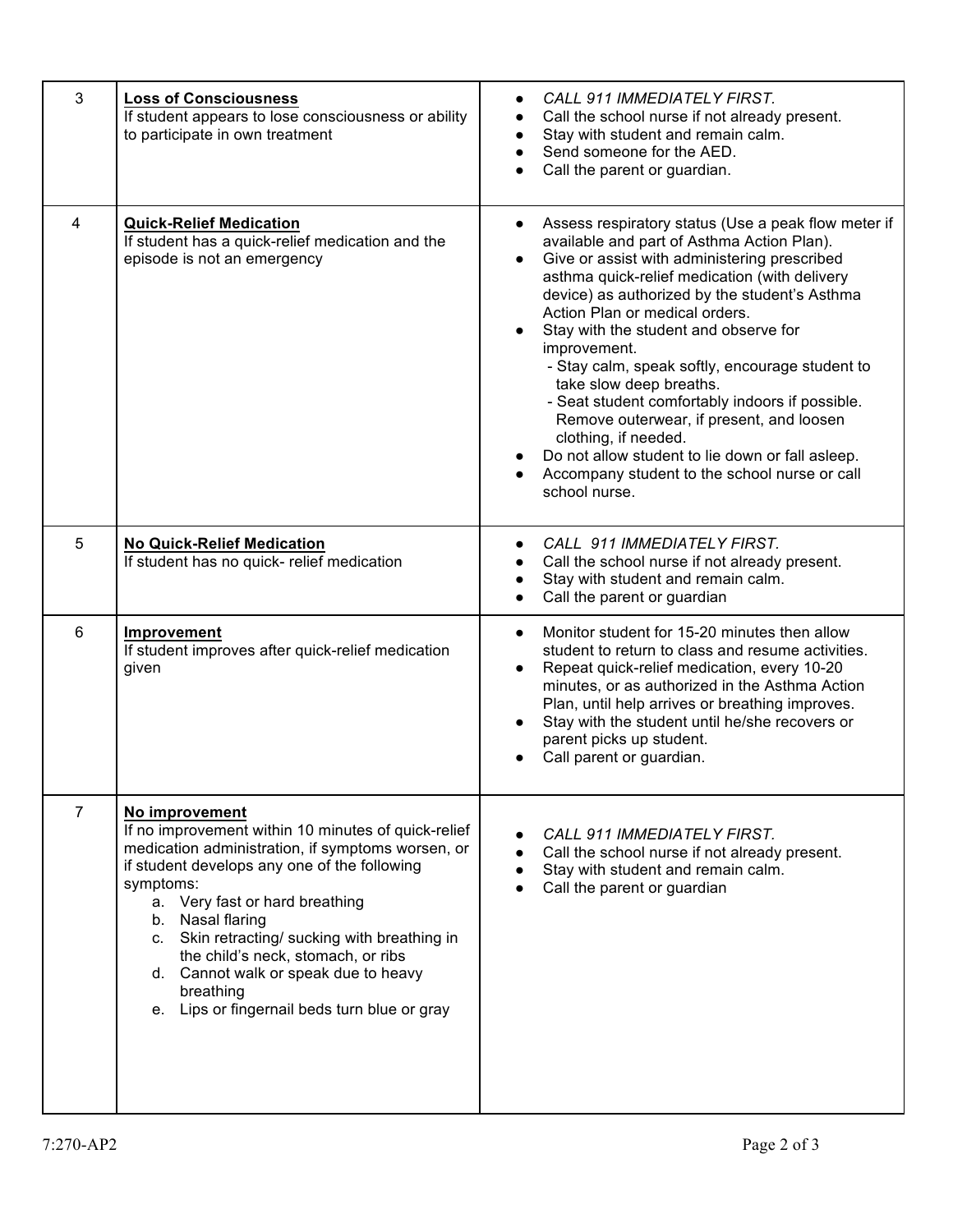| 3              | <b>Loss of Consciousness</b><br>If student appears to lose consciousness or ability<br>to participate in own treatment                                                                                                                                                                                                                                                                                                                    | CALL 911 IMMEDIATELY FIRST.<br>Call the school nurse if not already present.<br>Stay with student and remain calm.<br>Send someone for the AED.<br>Call the parent or guardian.                                                                                                                                                                                                                                                                                                                                                                                                                                                                                                                     |
|----------------|-------------------------------------------------------------------------------------------------------------------------------------------------------------------------------------------------------------------------------------------------------------------------------------------------------------------------------------------------------------------------------------------------------------------------------------------|-----------------------------------------------------------------------------------------------------------------------------------------------------------------------------------------------------------------------------------------------------------------------------------------------------------------------------------------------------------------------------------------------------------------------------------------------------------------------------------------------------------------------------------------------------------------------------------------------------------------------------------------------------------------------------------------------------|
| $\overline{4}$ | <b>Quick-Relief Medication</b><br>If student has a quick-relief medication and the<br>episode is not an emergency                                                                                                                                                                                                                                                                                                                         | Assess respiratory status (Use a peak flow meter if<br>$\bullet$<br>available and part of Asthma Action Plan).<br>Give or assist with administering prescribed<br>$\bullet$<br>asthma quick-relief medication (with delivery<br>device) as authorized by the student's Asthma<br>Action Plan or medical orders.<br>Stay with the student and observe for<br>improvement.<br>- Stay calm, speak softly, encourage student to<br>take slow deep breaths.<br>- Seat student comfortably indoors if possible.<br>Remove outerwear, if present, and loosen<br>clothing, if needed.<br>Do not allow student to lie down or fall asleep.<br>Accompany student to the school nurse or call<br>school nurse. |
| 5              | <b>No Quick-Relief Medication</b><br>If student has no quick- relief medication                                                                                                                                                                                                                                                                                                                                                           | CALL 911 IMMEDIATELY FIRST.<br>Call the school nurse if not already present.<br>Stay with student and remain calm.<br>$\bullet$<br>Call the parent or guardian<br>$\bullet$                                                                                                                                                                                                                                                                                                                                                                                                                                                                                                                         |
| 6              | Improvement<br>If student improves after quick-relief medication<br>given                                                                                                                                                                                                                                                                                                                                                                 | Monitor student for 15-20 minutes then allow<br>$\bullet$<br>student to return to class and resume activities.<br>Repeat quick-relief medication, every 10-20<br>minutes, or as authorized in the Asthma Action<br>Plan, until help arrives or breathing improves.<br>Stay with the student until he/she recovers or<br>parent picks up student.<br>Call parent or guardian.                                                                                                                                                                                                                                                                                                                        |
| $\overline{7}$ | No improvement<br>If no improvement within 10 minutes of quick-relief<br>medication administration, if symptoms worsen, or<br>if student develops any one of the following<br>symptoms:<br>a. Very fast or hard breathing<br>b. Nasal flaring<br>c. Skin retracting/ sucking with breathing in<br>the child's neck, stomach, or ribs<br>d. Cannot walk or speak due to heavy<br>breathing<br>e. Lips or fingernail beds turn blue or gray | CALL 911 IMMEDIATELY FIRST.<br>Call the school nurse if not already present.<br>Stay with student and remain calm.<br>Call the parent or guardian                                                                                                                                                                                                                                                                                                                                                                                                                                                                                                                                                   |